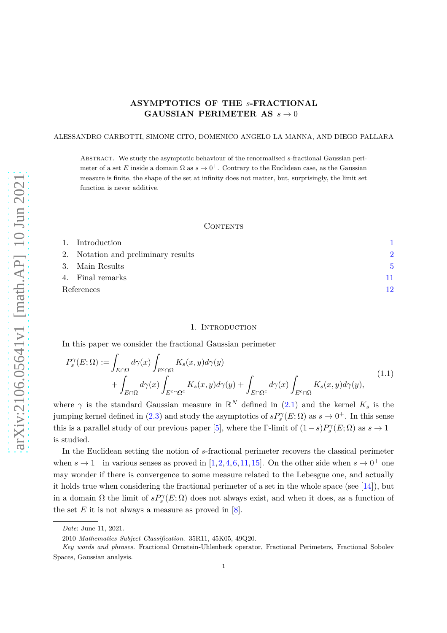# **ASYMPTOTICS OF THE** *s***-FRACTIONAL GAUSSIAN PERIMETER AS**  $s \rightarrow 0^+$

#### ALESSANDRO CARBOTTI, SIMONE CITO, DOMENICO ANGELO LA MANNA, AND DIEGO PALLARA

Abstract. We study the asymptotic behaviour of the renormalised *s*-fractional Gaussian perimeter of a set *E* inside a domain  $\Omega$  as  $s \to 0^+$ . Contrary to the Euclidean case, as the Gaussian measure is finite, the shape of the set at infinity does not matter, but, surprisingly, the limit set function is never additive.

## **CONTENTS**

|            | 1. Introduction                     |               |
|------------|-------------------------------------|---------------|
|            | 2. Notation and preliminary results | $\mathcal{D}$ |
|            | 3. Main Results                     | 5             |
|            | 4. Final remarks                    |               |
| References |                                     | 19            |

## 1. Introduction

<span id="page-0-0"></span>In this paper we consider the fractional Gaussian perimeter

<span id="page-0-1"></span>
$$
P_s^{\gamma}(E;\Omega) := \int_{E \cap \Omega} d\gamma(x) \int_{E^c \cap \Omega} K_s(x,y) d\gamma(y) + \int_{E \cap \Omega^c} K_s(x,y) d\gamma(y) + \int_{E \cap \Omega^c} d\gamma(x) \int_{E^c \cap \Omega} K_s(x,y) d\gamma(y), \tag{1.1}
$$

where  $\gamma$  is the standard Gaussian measure in  $\mathbb{R}^N$  defined in [\(2.1\)](#page-1-1) and the kernel  $K_s$  is the jumping kernel defined in [\(2.3\)](#page-2-0) and study the asymptotics of  $sP_s^{\gamma}(E;\Omega)$  as  $s \to 0^+$ . In this sense this is a parallel study of our previous paper [\[5\]](#page-11-1), where the Γ-limit of  $(1-s)P_s^{\gamma}(E;\Omega)$  as  $s \to 1^$ is studied.

In the Euclidean setting the notion of *s*-fractional perimeter recovers the classical perimeter when  $s \to 1^-$  in various senses as proved in [\[1,](#page-11-2)[2,](#page-11-3)[4,](#page-11-4)[6,](#page-11-5)[11,](#page-11-6)[15\]](#page-12-0). On the other side when  $s \to 0^+$  one may wonder if there is convergence to some measure related to the Lebesgue one, and actually it holds true when considering the fractional perimeter of a set in the whole space (see  $[14]$ ), but in a domain  $\Omega$  the limit of  $sP_s^{\gamma}(E;\Omega)$  does not always exist, and when it does, as a function of the set  $E$  it is not always a measure as proved in  $[8]$ .

*Date*: June 11, 2021.

<sup>2010</sup> *Mathematics Subject Classification.* 35R11, 45K05, 49Q20.

*Key words and phrases.* Fractional Ornstein-Uhlenbeck operator, Fractional Perimeters, Fractional Sobolev Spaces, Gaussian analysis.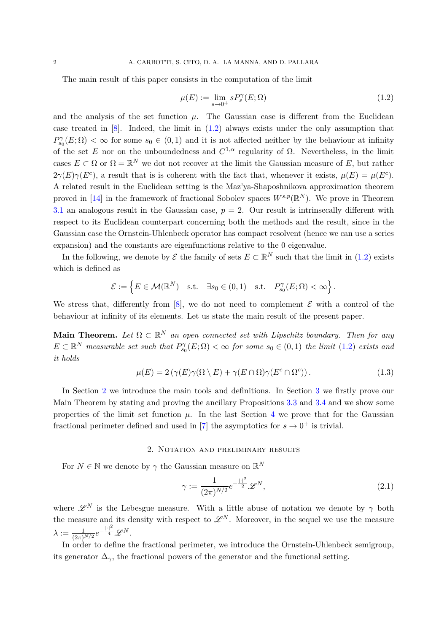The main result of this paper consists in the computation of the limit

<span id="page-1-2"></span>
$$
\mu(E) := \lim_{s \to 0^+} s P_s^{\gamma}(E; \Omega) \tag{1.2}
$$

and the analysis of the set function  $\mu$ . The Gaussian case is different from the Euclidean case treated in  $[8]$ . Indeed, the limit in  $(1.2)$  always exists under the only assumption that  $P_{s_0}^{\gamma}(E;\Omega) < \infty$  for some  $s_0 \in (0,1)$  and it is not affected neither by the behaviour at infinity of the set *E* nor on the unboundedness and  $C^{1,\alpha}$  regularity of  $\Omega$ . Nevertheless, in the limit cases  $E \subset \Omega$  or  $\Omega = \mathbb{R}^N$  we dot not recover at the limit the Gaussian measure of  $E$ , but rather  $2\gamma(E)\gamma(E^c)$ , a result that is is coherent with the fact that, whenever it exists,  $\mu(E) = \mu(E^c)$ . A related result in the Euclidean setting is the Maz'ya-Shaposhnikova approximation theorem proved in [\[14\]](#page-12-1) in the framework of fractional Sobolev spaces  $W^{s,p}(\mathbb{R}^N)$ . We prove in Theorem [3.1](#page-4-1) an analogous result in the Gaussian case,  $p = 2$ . Our result is intrinsecally different with respect to its Euclidean counterpart concerning both the methods and the result, since in the Gaussian case the Ornstein-Uhlenbeck operator has compact resolvent (hence we can use a series expansion) and the constants are eigenfunctions relative to the 0 eigenvalue.

In the following, we denote by  $\mathcal E$  the family of sets  $E \subset \mathbb R^N$  such that the limit in [\(1.2\)](#page-1-2) exists which is defined as

$$
\mathcal{E} := \left\{ E \in \mathcal{M}(\mathbb{R}^N) \quad \text{s.t.} \quad \exists s_0 \in (0,1) \quad \text{s.t.} \quad P_{s_0}^{\gamma}(E;\Omega) < \infty \right\}.
$$

We stress that, differently from  $[8]$ , we do not need to complement  $\mathcal E$  with a control of the behaviour at infinity of its elements. Let us state the main result of the present paper.

**Main Theorem.** Let  $\Omega \subset \mathbb{R}^N$  an open connected set with Lipschitz boundary. Then for any  $E \subset \mathbb{R}^N$  *measurable set such that*  $P_{s_0}^{\gamma}(E;\Omega) < \infty$  *for some*  $s_0 \in (0,1)$  *the limit*  $(1.2)$  *exists and it holds*

$$
\mu(E) = 2(\gamma(E)\gamma(\Omega \setminus E) + \gamma(E \cap \Omega)\gamma(E^c \cap \Omega^c)). \tag{1.3}
$$

In Section [2](#page-1-0) we introduce the main tools and definitions. In Section [3](#page-4-0) we firstly prove our Main Theorem by stating and proving the ancillary Propositions [3.3](#page-5-0) and [3.4](#page-6-0) and we show some properties of the limit set function  $\mu$ . In the last Section [4](#page-10-0) we prove that for the Gaussian fractional perimeter defined and used in [\[7\]](#page-11-8) the asymptotics for  $s \to 0^+$  is trivial.

## 2. NOTATION AND PRELIMINARY RESULTS

<span id="page-1-0"></span>For  $N \in \mathbb{N}$  we denote by  $\gamma$  the Gaussian measure on  $\mathbb{R}^N$ 

<span id="page-1-1"></span>
$$
\gamma := \frac{1}{(2\pi)^{N/2}} e^{-\frac{|\cdot|^2}{2}} \mathscr{L}^N,\tag{2.1}
$$

where  $\mathscr{L}^N$  is the Lebesgue measure. With a little abuse of notation we denote by  $\gamma$  both the measure and its density with respect to  $\mathscr{L}^N$ . Moreover, in the sequel we use the measure  $\lambda := \frac{1}{(2\pi)^{N/2}} e^{-\frac{|x|^2}{4}} \mathscr{L}^N.$ 

In order to define the fractional perimeter, we introduce the Ornstein-Uhlenbeck semigroup, its generator  $\Delta_{\gamma}$ , the fractional powers of the generator and the functional setting.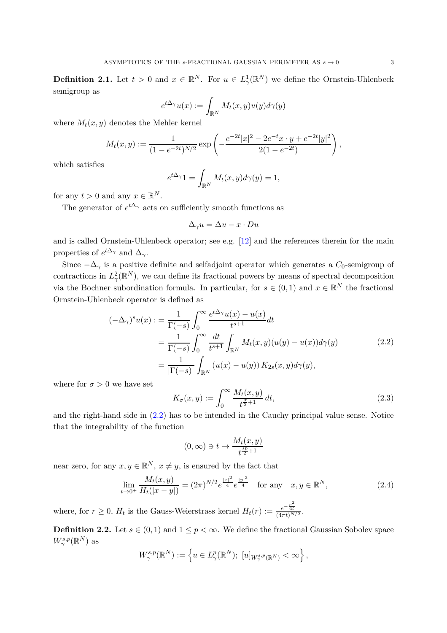**Definition 2.1.** Let  $t > 0$  and  $x \in \mathbb{R}^N$ . For  $u \in L^1_\gamma(\mathbb{R}^N)$  we define the Ornstein-Uhlenbeck semigroup as

$$
e^{t\Delta_{\gamma}}u(x) := \int_{\mathbb{R}^N} M_t(x, y)u(y)d\gamma(y)
$$

where  $M_t(x, y)$  denotes the Mehler kernel

$$
M_t(x,y) := \frac{1}{(1 - e^{-2t})^{N/2}} \exp\left(-\frac{e^{-2t}|x|^2 - 2e^{-t}x \cdot y + e^{-2t}|y|^2}{2(1 - e^{-2t})}\right),
$$

which satisfies

$$
e^{t\Delta_{\gamma}}1 = \int_{\mathbb{R}^N} M_t(x, y) d\gamma(y) = 1,
$$

for any  $t > 0$  and any  $x \in \mathbb{R}^N$ .

The generator of  $e^{t\Delta_{\gamma}}$  acts on sufficiently smooth functions as

$$
\Delta_{\gamma} u = \Delta u - x \cdot Du
$$

and is called Ornstein-Uhlenbeck operator; see e.g. [\[12\]](#page-11-9) and the references therein for the main properties of  $e^{t\Delta_{\gamma}}$  and  $\Delta_{\gamma}$ .

Since  $-\Delta_{\gamma}$  is a positive definite and selfadjoint operator which generates a  $C_0$ -semigroup of contractions in  $L^2_\gamma(\mathbb{R}^N)$ , we can define its fractional powers by means of spectral decomposition via the Bochner subordination formula. In particular, for  $s \in (0,1)$  and  $x \in \mathbb{R}^N$  the fractional Ornstein-Uhlenbeck operator is defined as

$$
(-\Delta_{\gamma})^{s}u(x) := \frac{1}{\Gamma(-s)} \int_{0}^{\infty} \frac{e^{t\Delta_{\gamma}}u(x) - u(x)}{t^{s+1}} dt
$$
  
\n
$$
= \frac{1}{\Gamma(-s)} \int_{0}^{\infty} \frac{dt}{t^{s+1}} \int_{\mathbb{R}^{N}} M_{t}(x, y)(u(y) - u(x)) d\gamma(y)
$$
  
\n
$$
= \frac{1}{|\Gamma(-s)|} \int_{\mathbb{R}^{N}} (u(x) - u(y)) K_{2s}(x, y) d\gamma(y),
$$
\n(2.2)

<span id="page-2-1"></span>where for  $\sigma > 0$  we have set

<span id="page-2-0"></span>
$$
K_{\sigma}(x,y) := \int_0^\infty \frac{M_t(x,y)}{t^{\frac{\sigma}{2}+1}} dt,\tag{2.3}
$$

and the right-hand side in  $(2.2)$  has to be intended in the Cauchy principal value sense. Notice that the integrability of the function

$$
(0, \infty) \ni t \mapsto \frac{M_t(x, y)}{t^{\frac{sp}{2} + 1}}
$$

near zero, for any  $x, y \in \mathbb{R}^N$ ,  $x \neq y$ , is ensured by the fact that

$$
\lim_{t \to 0^+} \frac{M_t(x, y)}{H_t(|x - y|)} = (2\pi)^{N/2} e^{\frac{|x|^2}{4}} e^{\frac{|y|^2}{4}} \quad \text{for any} \quad x, y \in \mathbb{R}^N,
$$
\n(2.4)

where, for  $r \geq 0$ ,  $H_t$  is the Gauss-Weierstrass kernel  $H_t(r) := \frac{e^{-\frac{r^2}{4t}}}{(4\pi t)^{N/2}}$ .

**Definition 2.2.** Let  $s \in (0,1)$  and  $1 \leq p < \infty$ . We define the fractional Gaussian Sobolev space  $W^{s,p}_{\gamma}(\mathbb{R}^N)$  as

$$
W^{s,p}_{\gamma}(\mathbb{R}^N):=\left\{u\in L^p_{\gamma}(\mathbb{R}^N);\ [u]_{W^{s,p}_{\gamma}(\mathbb{R}^N)}<\infty\right\},\
$$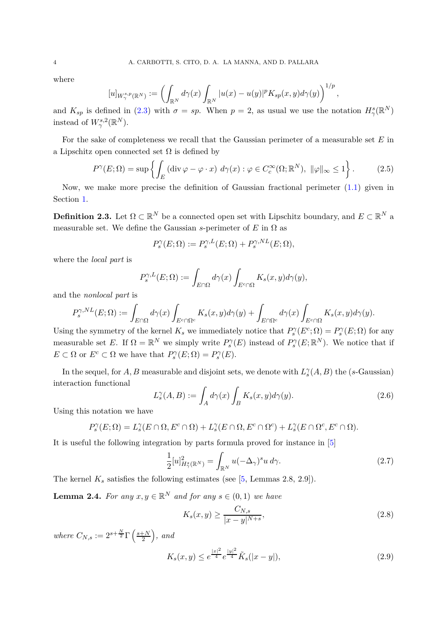where

$$
[u]_{W^{s,p}_\gamma(\mathbb R^N)}:=\left(\int_{\mathbb R^N}d\gamma(x)\int_{\mathbb R^N}|u(x)-u(y)|^pK_{sp}(x,y)d\gamma(y)\right)^{1/p},
$$

and  $K_{sp}$  is defined in [\(2.3\)](#page-2-0) with  $\sigma = sp$ . When  $p = 2$ , as usual we use the notation  $H^s_{\gamma}(\mathbb{R}^N)$ instead of  $W^{s,2}_{\gamma}(\mathbb{R}^N)$ .

For the sake of completeness we recall that the Gaussian perimeter of a measurable set *E* in a Lipschitz open connected set  $\Omega$  is defined by

<span id="page-3-2"></span>
$$
P^{\gamma}(E;\Omega) = \sup \left\{ \int_{E} \left( \operatorname{div} \varphi - \varphi \cdot x \right) \, d\gamma(x) : \varphi \in C_c^{\infty}(\Omega; \mathbb{R}^N), \ \|\varphi\|_{\infty} \le 1 \right\}.
$$
 (2.5)

Now, we make more precise the definition of Gaussian fractional perimeter  $(1.1)$  given in Section [1.](#page-0-0)

**Definition 2.3.** Let  $\Omega \subset \mathbb{R}^N$  be a connected open set with Lipschitz boundary, and  $E \subset \mathbb{R}^N$  a measurable set. We define the Gaussian *s*-perimeter of  $E$  in  $\Omega$  as

$$
P_s^{\gamma}(E;\Omega) := P_s^{\gamma,L}(E;\Omega) + P_s^{\gamma,NL}(E;\Omega),
$$

where the *local part* is

$$
P_s^{\gamma,L}(E;\Omega) := \int_{E \cap \Omega} d\gamma(x) \int_{E^c \cap \Omega} K_s(x,y) d\gamma(y),
$$

and the *nonlocal part* is

$$
P_s^{\gamma,NL}(E;\Omega) := \int_{E \cap \Omega} d\gamma(x) \int_{E^c \cap \Omega^c} K_s(x,y) d\gamma(y) + \int_{E \cap \Omega^c} d\gamma(x) \int_{E^c \cap \Omega} K_s(x,y) d\gamma(y).
$$

Using the symmetry of the kernel  $K_s$  we immediately notice that  $P_s^{\gamma}(E^c;\Omega) = P_s^{\gamma}(E;\Omega)$  for any measurable set *E*. If  $\Omega = \mathbb{R}^N$  we simply write  $P_s^{\gamma}(E)$  instead of  $P_s^{\gamma}(E;\mathbb{R}^N)$ . We notice that if  $E \subset \Omega$  or  $E^c \subset \Omega$  we have that  $P_s^{\gamma}(E; \Omega) = P_s^{\gamma}(E)$ .

In the sequel, for  $A, B$  measurable and disjoint sets, we denote with  $L_s^{\gamma}(A, B)$  the (*s*-Gaussian) interaction functional

$$
L_s^{\gamma}(A, B) := \int_A d\gamma(x) \int_B K_s(x, y) d\gamma(y).
$$
 (2.6)

Using this notation we have

$$
P_s^{\gamma}(E;\Omega) = L_s^{\gamma}(E \cap \Omega, E^c \cap \Omega) + L_s^{\gamma}(E \cap \Omega, E^c \cap \Omega^c) + L_s^{\gamma}(E \cap \Omega^c, E^c \cap \Omega).
$$

It is useful the following integration by parts formula proved for instance in [\[5\]](#page-11-1)

<span id="page-3-0"></span>
$$
\frac{1}{2}[u]_{H_{\gamma}^{s}(\mathbb{R}^{N})}^{2} = \int_{\mathbb{R}^{N}} u(-\Delta_{\gamma})^{s} u d\gamma.
$$
 (2.7)

The kernel  $K_s$  satisfies the following estimates (see  $[5,$  Lemmas 2.8, 2.9]).

**Lemma 2.4.** For any  $x, y \in \mathbb{R}^N$  and for any  $s \in (0, 1)$  we have

<span id="page-3-1"></span>
$$
K_s(x,y) \ge \frac{C_{N,s}}{|x-y|^{N+s}},\tag{2.8}
$$

*where*  $C_{N,s} := 2^{s + \frac{N}{2}} \Gamma\left(\frac{s+N}{2}\right)$  $\left(\frac{+N}{2}\right)$ , and

$$
K_s(x,y) \le e^{\frac{|x|^2}{4}} e^{\frac{|y|^2}{4}} \tilde{K}_s(|x-y|), \tag{2.9}
$$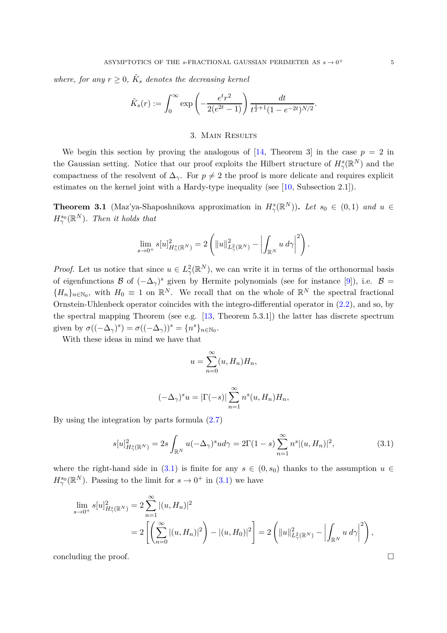*where, for any*  $r \geq 0$ ,  $\tilde{K}_s$  *denotes the decreasing kernel* 

$$
\tilde{K}_s(r) := \int_0^\infty \exp\left(-\frac{e^t r^2}{2(e^{2t} - 1)}\right) \frac{dt}{t^{\frac{s}{2}+1} (1 - e^{-2t})^{N/2}}.
$$

## 3. Main Results

<span id="page-4-0"></span>We begin this section by proving the analogous of  $[14,$  Theorem 3 in the case  $p = 2$  in the Gaussian setting. Notice that our proof exploits the Hilbert structure of  $H^s_\gamma(\mathbb{R}^N)$  and the compactness of the resolvent of  $\Delta_{\gamma}$ . For  $p \neq 2$  the proof is more delicate and requires explicit estimates on the kernel joint with a Hardy-type inequality (see [\[10,](#page-11-10) Subsection 2.1]).

<span id="page-4-1"></span>**Theorem 3.1** (Maz'ya-Shaposhnikova approximation in  $H^s_\gamma(\mathbb{R}^N)$ ). Let  $s_0 \in (0,1)$  and  $u \in$  $H^{s_0}_{\gamma}(\mathbb{R}^N)$ *. Then it holds that* 

$$
\lim_{s \to 0^+} s[u]_{H^s_{\gamma}(\mathbb{R}^N)}^2 = 2 \left( \|u\|_{L^2_{\gamma}(\mathbb{R}^N)}^2 - \left| \int_{\mathbb{R}^N} u \, d\gamma \right|^2 \right).
$$

*Proof.* Let us notice that since  $u \in L^2_\gamma(\mathbb{R}^N)$ , we can write it in terms of the orthonormal basis of eigenfunctions B of  $(-\Delta_{\gamma})^s$  given by Hermite polynomials (see for instance [\[9\]](#page-11-11)), i.e. B =  ${H_n}_{n\in\mathbb{N}_0}$ , with  $H_0 \equiv 1$  on  $\mathbb{R}^N$ . We recall that on the whole of  $\mathbb{R}^N$  the spectral fractional Ornstein-Uhlenbeck operator coincides with the integro-differential operator in [\(2.2\)](#page-2-1), and so, by the spectral mapping Theorem (see e.g.  $[13,$  Theorem 5.3.1]) the latter has discrete spectrum given by  $\sigma((-\Delta_{\gamma})^s) = \sigma((-\Delta_{\gamma}))^s = \{n^s\}_{n \in \mathbb{N}_0}$ .

With these ideas in mind we have that

$$
u = \sum_{n=0}^{\infty} (u, H_n) H_n,
$$

$$
(-\Delta_{\gamma})^{s} u = |\Gamma(-s)| \sum_{n=1}^{\infty} n^{s} (u, H_{n}) H_{n},
$$

By using the integration by parts formula [\(2.7\)](#page-3-0)

<span id="page-4-2"></span>
$$
s[u]_{H^s_\gamma(\mathbb{R}^N)}^2 = 2s \int_{\mathbb{R}^N} u(-\Delta_\gamma)^s u d\gamma = 2\Gamma(1-s) \sum_{n=1}^\infty n^s |(u, H_n)|^2,
$$
(3.1)

where the right-hand side in  $(3.1)$  is finite for any  $s \in (0, s_0)$  thanks to the assumption  $u \in$  $H^{s_0}_{\gamma}(\mathbb{R}^N)$ . Passing to the limit for  $s \to 0^+$  in [\(3.1\)](#page-4-2) we have

$$
\lim_{s \to 0^+} s[u]_{H^s_\gamma(\mathbb{R}^N)}^2 = 2 \sum_{n=1}^\infty |(u, H_n)|^2
$$
  
= 
$$
2 \left[ \left( \sum_{n=0}^\infty |(u, H_n)|^2 \right) - |(u, H_0)|^2 \right] = 2 \left( ||u||^2_{L^2_\gamma(\mathbb{R}^N)} - \left| \int_{\mathbb{R}^N} u \, d\gamma \right|^2 \right),
$$

concluding the proof.  $\Box$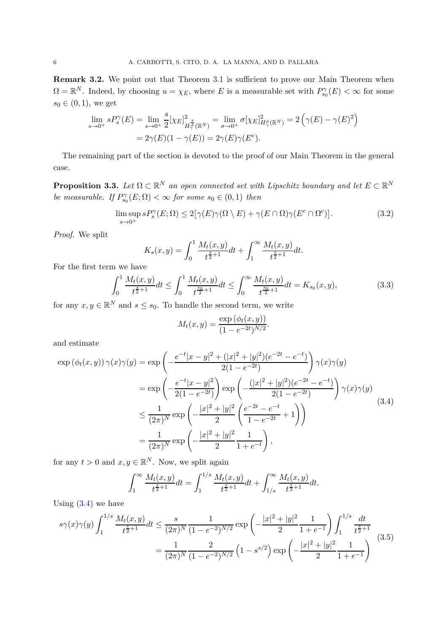**Remark 3.2.** We point out that Theorem [3.1](#page-4-1) is sufficient to prove our Main Theorem when  $\Omega = \mathbb{R}^N$ . Indeed, by choosing  $u = \chi_E$ , where *E* is a measurable set with  $P_{s_0}^{\gamma}(E) < \infty$  for some  $s_0 \in (0, 1)$ , we get

$$
\lim_{s \to 0^+} s P_s^{\gamma}(E) = \lim_{s \to 0^+} \frac{s}{2} [\chi_E]_{H^{\frac{s}{2}}_\gamma(\mathbb{R}^N)}^2 = \lim_{\sigma \to 0^+} \sigma [\chi_E]_{H^{\sigma}_{\gamma}(\mathbb{R}^N)}^2 = 2 \left( \gamma(E) - \gamma(E)^2 \right)
$$

$$
= 2 \gamma(E)(1 - \gamma(E)) = 2 \gamma(E) \gamma(E^c).
$$

The remaining part of the section is devoted to the proof of our Main Theorem in the general case.

<span id="page-5-0"></span>**Proposition 3.3.** Let  $\Omega \subset \mathbb{R}^N$  an open connected set with Lipschitz boundary and let  $E \subset \mathbb{R}^N$ *be measurable. If*  $P_{s_0}^{\gamma}(E; \Omega) < \infty$  *for some*  $s_0 \in (0, 1)$  *then* 

<span id="page-5-4"></span>
$$
\limsup_{s \to 0^+} s P_s^{\gamma}(E; \Omega) \le 2[\gamma(E)\gamma(\Omega \setminus E) + \gamma(E \cap \Omega)\gamma(E^c \cap \Omega^c)].
$$
\n(3.2)

*Proof.* We split

$$
K_s(x,y) = \int_0^1 \frac{M_t(x,y)}{t^{\frac{s}{2}+1}} dt + \int_1^\infty \frac{M_t(x,y)}{t^{\frac{s}{2}+1}} dt.
$$

For the first term we have

<span id="page-5-2"></span>
$$
\int_0^1 \frac{M_t(x,y)}{t^{\frac{s}{2}+1}} dt \le \int_0^1 \frac{M_t(x,y)}{t^{\frac{s_0}{2}+1}} dt \le \int_0^\infty \frac{M_t(x,y)}{t^{\frac{s_0}{2}+1}} dt = K_{s_0}(x,y),\tag{3.3}
$$

for any  $x, y \in \mathbb{R}^N$  and  $s \leq s_0$ . To handle the second term, we write

$$
M_t(x, y) = \frac{\exp(\phi_t(x, y))}{(1 - e^{-2t})^{N/2}}.
$$

and estimate

<span id="page-5-1"></span>
$$
\exp\left(\phi_t(x,y)\right)\gamma(x)\gamma(y) = \exp\left(-\frac{e^{-t}|x-y|^2 + (|x|^2 + |y|^2)(e^{-2t} - e^{-t})}{2(1 - e^{-2t})}\right)\gamma(x)\gamma(y)
$$

$$
= \exp\left(-\frac{e^{-t}|x-y|^2}{2(1 - e^{-2t})}\right)\exp\left(-\frac{(|x|^2 + |y|^2)(e^{-2t} - e^{-t})}{2(1 - e^{-2t})}\right)\gamma(x)\gamma(y)
$$

$$
\leq \frac{1}{(2\pi)^N}\exp\left(-\frac{|x|^2 + |y|^2}{2}\left(\frac{e^{-2t} - e^{-t}}{1 - e^{-2t}} + 1\right)\right)
$$

$$
= \frac{1}{(2\pi)^N}\exp\left(-\frac{|x|^2 + |y|^2}{2}\frac{1}{1 + e^{-t}}\right),\tag{3.4}
$$

for any  $t > 0$  and  $x, y \in \mathbb{R}^N$ . Now, we split again

$$
\int_1^{\infty} \frac{M_t(x, y)}{t^{\frac{s}{2}+1}} dt = \int_1^{1/s} \frac{M_t(x, y)}{t^{\frac{s}{2}+1}} dt + \int_{1/s}^{\infty} \frac{M_t(x, y)}{t^{\frac{s}{2}+1}} dt.
$$

Using  $(3.4)$  we have

<span id="page-5-3"></span>
$$
s\gamma(x)\gamma(y)\int_{1}^{1/s}\frac{M_t(x,y)}{t^{\frac{s}{2}+1}}dt \le \frac{s}{(2\pi)^N}\frac{1}{(1-e^{-2})^{N/2}}\exp\left(-\frac{|x|^2+|y|^2}{2}\frac{1}{1+e^{-1}}\right)\int_{1}^{1/s}\frac{dt}{t^{\frac{s}{2}+1}} = \frac{1}{(2\pi)^N}\frac{2}{(1-e^{-2})^{N/2}}\left(1-s^{s/2}\right)\exp\left(-\frac{|x|^2+|y|^2}{2}\frac{1}{1+e^{-1}}\right)
$$
(3.5)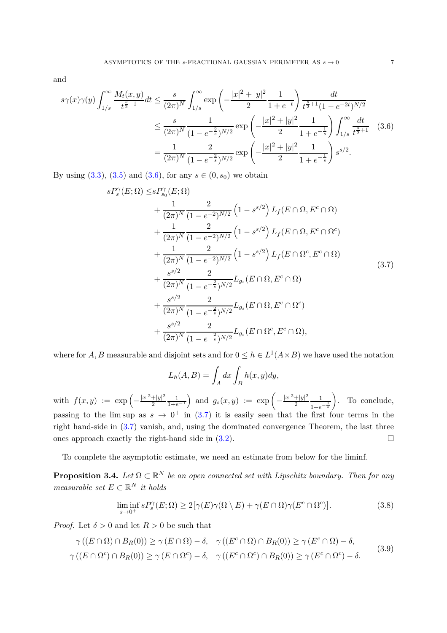and

<span id="page-6-1"></span>
$$
s\gamma(x)\gamma(y)\int_{1/s}^{\infty}\frac{M_t(x,y)}{t^{\frac{s}{2}+1}}dt \leq \frac{s}{(2\pi)^N}\int_{1/s}^{\infty}\exp\left(-\frac{|x|^2+|y|^2}{2}\frac{1}{1+e^{-t}}\right)\frac{dt}{t^{\frac{s}{2}+1}(1-e^{-2t})^{N/2}}\newline \leq \frac{s}{(2\pi)^N}\frac{1}{(1-e^{-\frac{2}{s}})^{N/2}}\exp\left(-\frac{|x|^2+|y|^2}{2}\frac{1}{1+e^{-\frac{1}{s}}}\right)\int_{1/s}^{\infty}\frac{dt}{t^{\frac{s}{2}+1}}\quad(3.6)
$$
\n
$$
=\frac{1}{(2\pi)^N}\frac{2}{(1-e^{-\frac{2}{s}})^{N/2}}\exp\left(-\frac{|x|^2+|y|^2}{2}\frac{1}{1+e^{-\frac{1}{s}}}\right)s^{s/2}.
$$

<span id="page-6-2"></span>By using  $(3.3)$ ,  $(3.5)$  and  $(3.6)$ , for any  $s \in (0, s_0)$  we obtain

*sP<sup>γ</sup>*

$$
P_s^{\gamma}(E;\Omega) \leq s P_{s_0}^{\gamma}(E;\Omega)
$$
  
+  $\frac{1}{(2\pi)^N} \frac{2}{(1 - e^{-2})^{N/2}} \left(1 - s^{s/2}\right) L_f(E \cap \Omega, E^c \cap \Omega)$   
+  $\frac{1}{(2\pi)^N} \frac{2}{(1 - e^{-2})^{N/2}} \left(1 - s^{s/2}\right) L_f(E \cap \Omega, E^c \cap \Omega^c)$   
+  $\frac{1}{(2\pi)^N} \frac{2}{(1 - e^{-2})^{N/2}} \left(1 - s^{s/2}\right) L_f(E \cap \Omega^c, E^c \cap \Omega)$   
+  $\frac{s^{s/2}}{(2\pi)^N} \frac{2}{(1 - e^{-2})^{N/2}} L_{g_s}(E \cap \Omega, E^c \cap \Omega)$   
+  $\frac{s^{s/2}}{(2\pi)^N} \frac{2}{(1 - e^{-2})^{N/2}} L_{g_s}(E \cap \Omega, E^c \cap \Omega^c)$   
+  $\frac{s^{s/2}}{(2\pi)^N} \frac{2}{(1 - e^{-2})^{N/2}} L_{g_s}(E \cap \Omega^c, E^c \cap \Omega)$ , (3.7)

where for *A*, *B* measurable and disjoint sets and for  $0 \leq h \in L^1(A \times B)$  we have used the notation

$$
L_h(A, B) = \int_A dx \int_B h(x, y) dy,
$$

with  $f(x,y) := \exp \left(-\frac{|x|^2 + |y|^2}{2}\right)$ 2  $\frac{1}{1+e^{-1}}$  and  $g_s(x,y) := \exp\left(-\frac{|x|^2+|y|^2}{2}\right)$ 2 1  $1+e^{-\frac{1}{s}}$  . To conclude, passing to the lim sup as  $s \to 0^+$  in [\(3.7\)](#page-6-2) it is easily seen that the first four terms in the right hand-side in [\(3.7\)](#page-6-2) vanish, and, using the dominated convergence Theorem, the last three ones approach exactly the right-hand side in  $(3.2)$ .

To complete the asymptotic estimate, we need an estimate from below for the liminf.

<span id="page-6-0"></span>**Proposition 3.4.** Let  $\Omega \subset \mathbb{R}^N$  be an open connected set with Lipschitz boundary. Then for any *measurable set*  $E \subset \mathbb{R}^N$  *it holds* 

<span id="page-6-3"></span>
$$
\liminf_{s \to 0^+} s P_s^{\gamma}(E; \Omega) \ge 2[\gamma(E)\gamma(\Omega \setminus E) + \gamma(E \cap \Omega)\gamma(E^c \cap \Omega^c)].
$$
\n(3.8)

*Proof.* Let  $\delta > 0$  and let  $R > 0$  be such that

$$
\gamma((E \cap \Omega) \cap B_R(0)) \ge \gamma(E \cap \Omega) - \delta, \quad \gamma((E^c \cap \Omega) \cap B_R(0)) \ge \gamma(E^c \cap \Omega) - \delta,
$$
  

$$
\gamma((E \cap \Omega^c) \cap B_R(0)) \ge \gamma(E \cap \Omega^c) - \delta, \quad \gamma((E^c \cap \Omega^c) \cap B_R(0)) \ge \gamma(E^c \cap \Omega^c) - \delta.
$$
 (3.9)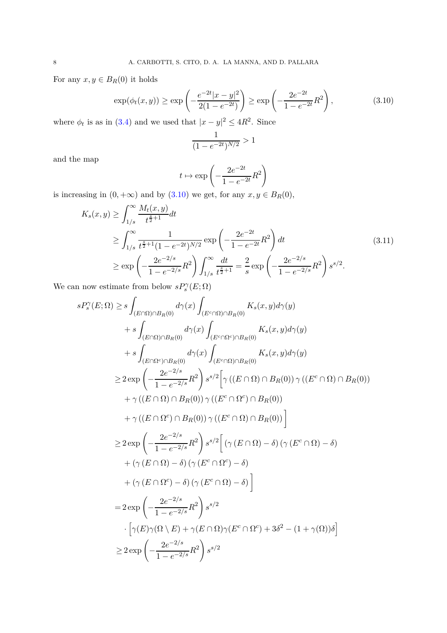<span id="page-7-0"></span>For any  $x, y \in B_R(0)$  it holds

$$
\exp(\phi_t(x,y)) \ge \exp\left(-\frac{e^{-2t}|x-y|^2}{2(1-e^{-2t})}\right) \ge \exp\left(-\frac{2e^{-2t}}{1-e^{-2t}}R^2\right),\tag{3.10}
$$

where  $\phi_t$  is as in [\(3.4\)](#page-5-1) and we used that  $|x - y|^2 \leq 4R^2$ . Since

$$
\frac{1}{(1 - e^{-2t})^{N/2}} > 1
$$

and the map

$$
t\mapsto \exp\left(-\frac{2e^{-2t}}{1-e^{-2t}}R^2\right)
$$

is increasing in  $(0, +\infty)$  and by  $(3.10)$  we get, for any  $x, y \in B_R(0)$ ,

$$
K_s(x,y) \ge \int_{1/s}^{\infty} \frac{M_t(x,y)}{t^{\frac{s}{2}+1}} dt
$$
  
\n
$$
\ge \int_{1/s}^{\infty} \frac{1}{t^{\frac{s}{2}+1}(1-e^{-2t})^{N/2}} \exp\left(-\frac{2e^{-2t}}{1-e^{-2t}}R^2\right) dt
$$
  
\n
$$
\ge \exp\left(-\frac{2e^{-2/s}}{1-e^{-2/s}}R^2\right) \int_{1/s}^{\infty} \frac{dt}{t^{\frac{s}{2}+1}} = \frac{2}{s} \exp\left(-\frac{2e^{-2/s}}{1-e^{-2/s}}R^2\right) s^{s/2}.
$$
\n(3.11)

We can now estimate from below  $sP_s^{\gamma}(E;\Omega)$ 

ˆ <sup>∞</sup>

$$
sP_s^{\gamma}(E;\Omega) \geq s \int_{(E\cap\Omega)\cap B_R(0)} d\gamma(x) \int_{(E^c\cap\Omega)\cap B_R(0)} K_s(x,y) d\gamma(y)
$$
  
+
$$
+ s \int_{(E\cap\Omega)\cap B_R(0)} d\gamma(x) \int_{(E^c\cap\Omega^c)\cap B_R(0)} K_s(x,y) d\gamma(y)
$$
  
+
$$
+ s \int_{(E\cap\Omega^c)\cap B_R(0)} d\gamma(x) \int_{(E^c\cap\Omega)\cap B_R(0)} K_s(x,y) d\gamma(y)
$$
  

$$
\geq 2 \exp\left(-\frac{2e^{-2/s}}{1-e^{-2/s}}R^2\right) s^{s/2} \left[\gamma((E\cap\Omega)\cap B_R(0))\gamma((E^c\cap\Omega)\cap B_R(0))\right]
$$
  
+
$$
\gamma((E\cap\Omega^c)\cap B_R(0))\gamma((E^c\cap\Omega)\cap B_R(0))\right]
$$
  

$$
\geq 2 \exp\left(-\frac{2e^{-2/s}}{1-e^{-2/s}}R^2\right) s^{s/2} \left[\left(\gamma(E\cap\Omega)-\delta\right)\left(\gamma(E^c\cap\Omega)-\delta\right)
$$
  
+
$$
\left(\gamma(E\cap\Omega^c)-\delta\right)\left(\gamma(E^c\cap\Omega^c)-\delta\right)
$$
  
+
$$
\left(\gamma(E\cap\Omega^c)-\delta\right)\left(\gamma(E^c\cap\Omega)-\delta\right)\right]
$$
  

$$
= 2 \exp\left(-\frac{2e^{-2/s}}{1-e^{-2/s}}R^2\right) s^{s/2}
$$
  

$$
\cdot \left[\gamma(E)\gamma(\Omega\setminus E)+\gamma(E\cap\Omega)\gamma(E^c\cap\Omega^c)+3\delta^2-(1+\gamma(\Omega))\delta\right]
$$
  

$$
\geq 2 \exp\left(-\frac{2e^{-2/s}}{1-e^{-2/s}}R^2\right) s^{s/2}
$$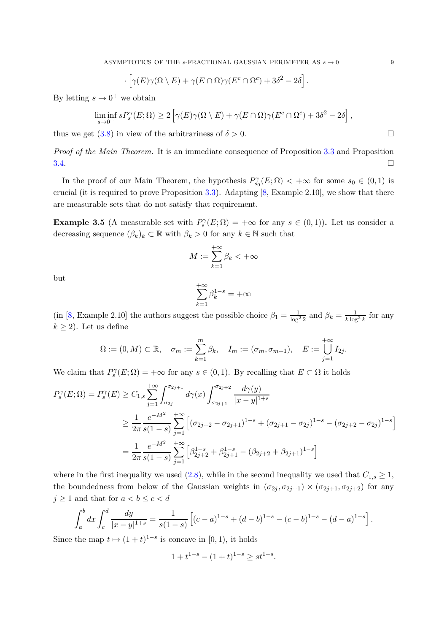$$
\cdot \left[ \gamma(E) \gamma(\Omega \setminus E) + \gamma(E \cap \Omega) \gamma(E^c \cap \Omega^c) + 3\delta^2 - 2\delta \right].
$$

By letting  $s \to 0^+$  we obtain

$$
\liminf_{s \to 0^+} s P_s^{\gamma}(E;\Omega) \ge 2 \left[ \gamma(E) \gamma(\Omega \setminus E) + \gamma(E \cap \Omega) \gamma(E^c \cap \Omega^c) + 3\delta^2 - 2\delta \right],
$$

thus we get  $(3.8)$  in view of the arbitrariness of  $\delta > 0$ .

*Proof of the Main Theorem.* It is an immediate consequence of Proposition [3.3](#page-5-0) and Proposition  $3.4.$ 

In the proof of our Main Theorem, the hypothesis  $P_{s_0}^{\gamma}(E;\Omega) < +\infty$  for some  $s_0 \in (0,1)$  is crucial (it is required to prove Proposition  $3.3$ ). Adapting  $[8, Example 2.10]$ , we show that there are measurable sets that do not satisfy that requirement.

**Example 3.5** (A measurable set with  $P_s^{\gamma}(E;\Omega) = +\infty$  for any  $s \in (0,1)$ ). Let us consider a decreasing sequence  $(\beta_k)_k \subset \mathbb{R}$  with  $\beta_k > 0$  for any  $k \in \mathbb{N}$  such that

$$
M:=\sum_{k=1}^{+\infty}\beta_k<+\infty
$$

but

$$
\sum_{k=1}^{+\infty}\beta_k^{1-s}=+\infty
$$

(in [\[8,](#page-11-7) Example 2.10] the authors suggest the possible choice  $\beta_1 = \frac{1}{\log^2 2}$  and  $\beta_k = \frac{1}{k \log^2 k}$  for any  $k \geq 2$ ). Let us define

$$
\Omega := (0, M) \subset \mathbb{R}, \quad \sigma_m := \sum_{k=1}^m \beta_k, \quad I_m := (\sigma_m, \sigma_{m+1}), \quad E := \bigcup_{j=1}^{+\infty} I_{2j}.
$$

We claim that  $P_s^{\gamma}(E; \Omega) = +\infty$  for any  $s \in (0, 1)$ . By recalling that  $E \subset \Omega$  it holds

$$
P_s^{\gamma}(E;\Omega) = P_s^{\gamma}(E) \ge C_{1,s} \sum_{j=1}^{+\infty} \int_{\sigma_{2j}}^{\sigma_{2j+1}} d\gamma(x) \int_{\sigma_{2j+1}}^{\sigma_{2j+2}} \frac{d\gamma(y)}{|x-y|^{1+s}}
$$
  
\n
$$
\ge \frac{1}{2\pi} \frac{e^{-M^2}}{s(1-s)} \sum_{j=1}^{+\infty} \left[ (\sigma_{2j+2} - \sigma_{2j+1})^{1-s} + (\sigma_{2j+1} - \sigma_{2j})^{1-s} - (\sigma_{2j+2} - \sigma_{2j})^{1-s} \right]
$$
  
\n
$$
= \frac{1}{2\pi} \frac{e^{-M^2}}{s(1-s)} \sum_{j=1}^{+\infty} \left[ \beta_{2j+2}^{1-s} + \beta_{2j+1}^{1-s} - (\beta_{2j+2} + \beta_{2j+1})^{1-s} \right]
$$

where in the first inequality we used  $(2.8)$ , while in the second inequality we used that  $C_{1,s} \geq 1$ , the boundedness from below of the Gaussian weights in  $(\sigma_{2j}, \sigma_{2j+1}) \times (\sigma_{2j+1}, \sigma_{2j+2})$  for any  $j \geq 1$  and that for  $a < b \leq c < d$ 

$$
\int_a^b dx \int_c^d \frac{dy}{|x-y|^{1+s}} = \frac{1}{s(1-s)} \left[ (c-a)^{1-s} + (d-b)^{1-s} - (c-b)^{1-s} - (d-a)^{1-s} \right].
$$

Since the map  $t \mapsto (1 + t)^{1-s}$  is concave in [0, 1), it holds

$$
1 + t^{1-s} - (1+t)^{1-s} \ge st^{1-s}.
$$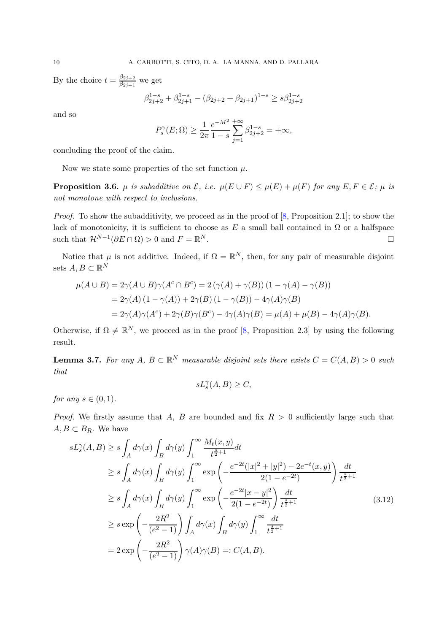By the choice  $t = \frac{\beta_{2j+2}}{\beta_{2j+1}}$  $\frac{\beta_{2j+2}}{\beta_{2j+1}}$  we get

$$
\beta_{2j+2}^{1-s} + \beta_{2j+1}^{1-s} - (\beta_{2j+2} + \beta_{2j+1})^{1-s} \ge s\beta_{2j+2}^{1-s}
$$

and so

$$
P_s^{\gamma}(E; \Omega) \ge \frac{1}{2\pi} \frac{e^{-M^2}}{1-s} \sum_{j=1}^{+\infty} \beta_{2j+2}^{1-s} = +\infty,
$$

concluding the proof of the claim.

Now we state some properties of the set function  $\mu$ .

**Proposition 3.6.**  $\mu$  *is subadditive on*  $\mathcal{E}$ *, i.e.*  $\mu(E \cup F) \leq \mu(E) + \mu(F)$  *for any*  $E, F \in \mathcal{E}$ *;*  $\mu$  *is not monotone with respect to inclusions.*

*Proof.* To show the subadditivity, we proceed as in the proof of  $[8,$  Proposition 2.1]; to show the lack of monotonicity, it is sufficient to choose as  $E$  a small ball contained in  $\Omega$  or a halfspace such that  $\mathcal{H}^{N-1}(\partial E \cap \Omega) > 0$  and  $F = \mathbb{R}$ *N* . □

Notice that  $\mu$  is not additive. Indeed, if  $\Omega = \mathbb{R}^N$ , then, for any pair of measurable disjoint sets  $A, B \subset \mathbb{R}^N$ 

$$
\mu(A \cup B) = 2\gamma(A \cup B)\gamma(A^c \cap B^c) = 2(\gamma(A) + \gamma(B))(1 - \gamma(A) - \gamma(B))
$$
  
= 2\gamma(A)(1 - \gamma(A)) + 2\gamma(B)(1 - \gamma(B)) - 4\gamma(A)\gamma(B)  
= 2\gamma(A)\gamma(A^c) + 2\gamma(B)\gamma(B^c) - 4\gamma(A)\gamma(B) = \mu(A) + \mu(B) - 4\gamma(A)\gamma(B).

Otherwise, if  $\Omega \neq \mathbb{R}^N$ , we proceed as in the proof [\[8,](#page-11-7) Proposition 2.3] by using the following result.

<span id="page-9-0"></span>**Lemma 3.7.** For any  $A, B \subset \mathbb{R}^N$  measurable disjoint sets there exists  $C = C(A, B) > 0$  such *that*

$$
sL^\gamma_s(A,B)\geq C,
$$

*for any*  $s \in (0, 1)$ *.* 

*Proof.* We firstly assume that *A*, *B* are bounded and fix *R >* 0 sufficiently large such that  $A, B \subset B_R$ . We have

$$
sL_s^{\gamma}(A,B) \ge s \int_A d\gamma(x) \int_B d\gamma(y) \int_1^{\infty} \frac{M_t(x,y)}{t^{\frac{2}{2}+1}} dt
$$
  
\n
$$
\ge s \int_A d\gamma(x) \int_B d\gamma(y) \int_1^{\infty} \exp\left(-\frac{e^{-2t}(|x|^2+|y|^2)-2e^{-t}(x,y)}{2(1-e^{-2t})}\right) \frac{dt}{t^{\frac{2}{2}+1}}
$$
  
\n
$$
\ge s \int_A d\gamma(x) \int_B d\gamma(y) \int_1^{\infty} \exp\left(-\frac{e^{-2t}|x-y|^2}{2(1-e^{-2t})}\right) \frac{dt}{t^{\frac{2}{2}+1}}
$$
  
\n
$$
\ge s \exp\left(-\frac{2R^2}{(e^2-1)}\right) \int_A d\gamma(x) \int_B d\gamma(y) \int_1^{\infty} \frac{dt}{t^{\frac{2}{2}+1}}
$$
  
\n
$$
= 2 \exp\left(-\frac{2R^2}{(e^2-1)}\right) \gamma(A)\gamma(B) =: C(A,B).
$$
 (3.12)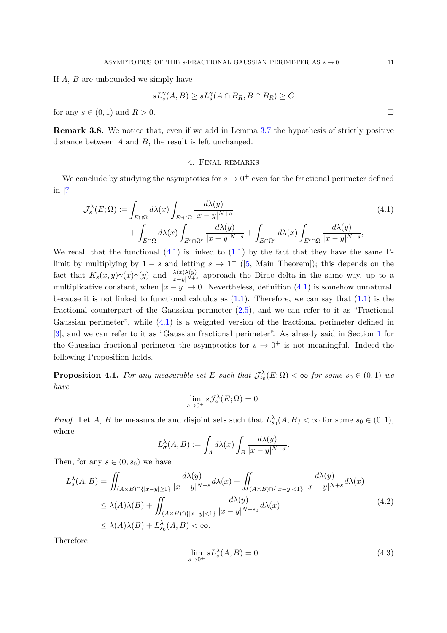If *A*, *B* are unbounded we simply have

$$
sL_s^{\gamma}(A,B) \ge sL_s^{\gamma}(A \cap B_R, B \cap B_R) \ge C
$$

for any  $s \in (0,1)$  and  $R > 0$ .

<span id="page-10-0"></span>**Remark 3.8.** We notice that, even if we add in Lemma [3.7](#page-9-0) the hypothesis of strictly positive distance between *A* and *B*, the result is left unchanged.

## 4. Final remarks

We conclude by studying the asymptotics for  $s \to 0^+$  even for the fractional perimeter defined in [\[7\]](#page-11-8)

$$
\mathcal{J}_s^{\lambda}(E;\Omega) := \int_{E\cap\Omega} d\lambda(x) \int_{E^c\cap\Omega} \frac{d\lambda(y)}{|x - y|^{N+s}} + \int_{E\cap\Omega^c} d\lambda(x) \int_{E^c\cap\Omega^c} \frac{d\lambda(y)}{|x - y|^{N+s}} + \int_{E\cap\Omega^c} d\lambda(x) \int_{E^c\cap\Omega} \frac{d\lambda(y)}{|x - y|^{N+s}},
$$
\n(4.1)

We recall that the functional  $(4.1)$  is linked to  $(1.1)$  by the fact that they have the same Γlimit by multiplying by  $1 - s$  and letting  $s \to 1^-$  ([\[5,](#page-11-1) Main Theorem]); this depends on the fact that  $K_s(x, y)\gamma(x)\gamma(y)$  and  $\frac{\lambda(x)\lambda(y)}{|x-y|^{N+s}}$  approach the Dirac delta in the same way, up to a multiplicative constant, when  $|x - y| \to 0$ . Nevertheless, definition [\(4.1\)](#page-10-1) is somehow unnatural, because it is not linked to functional calculus as  $(1.1)$ . Therefore, we can say that  $(1.1)$  is the fractional counterpart of the Gaussian perimeter [\(2.5\)](#page-3-2), and we can refer to it as "Fractional Gaussian perimeter", while [\(4.1\)](#page-10-1) is a weighted version of the fractional perimeter defined in [\[3\]](#page-11-13), and we can refer to it as "Gaussian fractional perimeter". As already said in Section [1](#page-0-0) for the Gaussian fractional perimeter the asymptotics for  $s \to 0^+$  is not meaningful. Indeed the following Proposition holds.

**Proposition 4.1.** For any measurable set E such that  $\mathcal{J}_{s_0}^{\lambda}(E;\Omega) < \infty$  for some  $s_0 \in (0,1)$  we *have*

$$
\lim_{s \to 0^+} s \mathcal{J}_s^{\lambda}(E; \Omega) = 0.
$$

*Proof.* Let *A*, *B* be measurable and disjoint sets such that  $L_{s_0}^{\lambda}(A, B) < \infty$  for some  $s_0 \in (0, 1)$ , where

$$
L_{\sigma}^{\lambda}(A, B) := \int_{A} d\lambda(x) \int_{B} \frac{d\lambda(y)}{|x - y|^{N + \sigma}}.
$$

Then, for any  $s \in (0, s_0)$  we have

$$
L_s^{\lambda}(A, B) = \iint_{(A \times B) \cap \{|x - y| \ge 1\}} \frac{d\lambda(y)}{|x - y|^{N+s}} d\lambda(x) + \iint_{(A \times B) \cap \{|x - y| < 1\}} \frac{d\lambda(y)}{|x - y|^{N+s}} d\lambda(x)
$$
  
\n
$$
\le \lambda(A)\lambda(B) + \iint_{(A \times B) \cap \{|x - y| < 1\}} \frac{d\lambda(y)}{|x - y|^{N+s_0}} d\lambda(x)
$$
  
\n
$$
\le \lambda(A)\lambda(B) + L_{s_0}^{\lambda}(A, B) < \infty.
$$
\n(4.2)

Therefore

<span id="page-10-2"></span>
$$
\lim_{s \to 0^+} s L_s^{\lambda}(A, B) = 0.
$$
\n(4.3)

<span id="page-10-1"></span>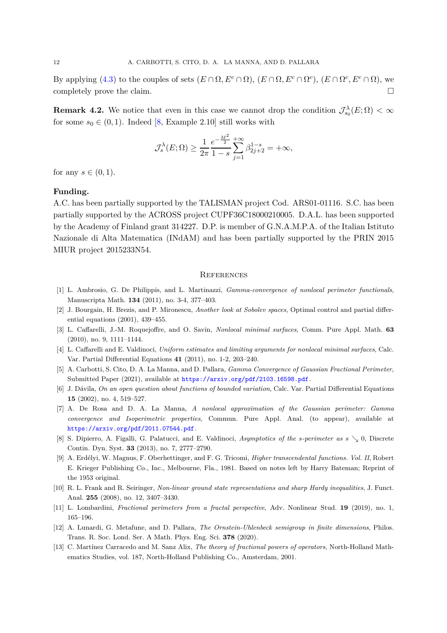By applying [\(4.3\)](#page-10-2) to the couples of sets  $(E \cap \Omega, E^c \cap \Omega)$ ,  $(E \cap \Omega, E^c \cap \Omega^c)$ ,  $(E \cap \Omega^c, E^c \cap \Omega)$ , we completely prove the claim.

**Remark 4.2.** We notice that even in this case we cannot drop the condition  $\mathcal{J}_{s_0}^{\lambda}(E;\Omega) < \infty$ for some  $s_0 \in (0,1)$ . Indeed [\[8,](#page-11-7) Example 2.10] still works with

$$
\mathcal{J}_s^{\lambda}(E;\Omega) \ge \frac{1}{2\pi} \frac{e^{-\frac{M^2}{2}}}{1-s} \sum_{j=1}^{+\infty} \beta_{2j+2}^{1-s} = +\infty,
$$

for any  $s \in (0, 1)$ .

## **Funding.**

A.C. has been partially supported by the TALISMAN project Cod. ARS01-01116. S.C. has been partially supported by the ACROSS project CUPF36C18000210005. D.A.L. has been supported by the Academy of Finland grant 314227. D.P. is member of G.N.A.M.P.A. of the Italian Istituto Nazionale di Alta Matematica (INdAM) and has been partially supported by the PRIN 2015 MIUR project 2015233N54.

#### <span id="page-11-0"></span>**REFERENCES**

- <span id="page-11-2"></span>[1] L. Ambrosio, G. De Philippis, and L. Martinazzi, *Gamma-convergence of nonlocal perimeter functionals*, Manuscripta Math. **134** (2011), no. 3-4, 377–403.
- <span id="page-11-3"></span>[2] J. Bourgain, H. Brezis, and P. Mironescu, *Another look at Sobolev spaces*, Optimal control and partial differential equations (2001), 439–455.
- <span id="page-11-13"></span>[3] L. Caffarelli, J.-M. Roquejoffre, and O. Savin, *Nonlocal minimal surfaces*, Comm. Pure Appl. Math. **63** (2010), no. 9, 1111–1144.
- <span id="page-11-4"></span>[4] L. Caffarelli and E. Valdinoci, *Uniform estimates and limiting arguments for nonlocal minimal surfaces*, Calc. Var. Partial Differential Equations **41** (2011), no. 1-2, 203–240.
- <span id="page-11-1"></span>[5] A. Carbotti, S. Cito, D. A. La Manna, and D. Pallara, *Gamma Convergence of Gaussian Fractional Perimeter*, Submitted Paper (2021), available at <https://arxiv.org/pdf/2103.16598.pdf>.
- <span id="page-11-5"></span>[6] J. Dávila, *On an open question about functions of bounded variation*, Calc. Var. Partial Differential Equations **15** (2002), no. 4, 519–527.
- <span id="page-11-8"></span>[7] A. De Rosa and D. A. La Manna, *A nonlocal approximation of the Gaussian perimeter: Gamma convergence and Isoperimetric properties*, Commun. Pure Appl. Anal. (to appear), available at <https://arxiv.org/pdf/2011.07544.pdf>.
- <span id="page-11-7"></span>[8] S. Dipierro, A. Figalli, G. Palatucci, and E. Valdinoci, *Asymptotics of the s-perimeter as*  $s \searrow 0$ , Discrete Contin. Dyn. Syst. **33** (2013), no. 7, 2777–2790.
- <span id="page-11-11"></span>[9] A. Erdélyi, W. Magnus, F. Oberhettinger, and F. G. Tricomi, *Higher transcendental functions. Vol. II*, Robert E. Krieger Publishing Co., Inc., Melbourne, Fla., 1981. Based on notes left by Harry Bateman; Reprint of the 1953 original.
- <span id="page-11-10"></span>[10] R. L. Frank and R. Seiringer, *Non-linear ground state representations and sharp Hardy inequalities*, J. Funct. Anal. **255** (2008), no. 12, 3407–3430.
- <span id="page-11-6"></span>[11] L. Lombardini, *Fractional perimeters from a fractal perspective*, Adv. Nonlinear Stud. **19** (2019), no. 1, 165–196.
- <span id="page-11-9"></span>[12] A. Lunardi, G. Metafune, and D. Pallara, *The Ornstein-Uhlenbeck semigroup in finite dimensions*, Philos. Trans. R. Soc. Lond. Ser. A Math. Phys. Eng. Sci. **378** (2020).
- <span id="page-11-12"></span>[13] C. Martínez Carracedo and M. Sanz Alix, *The theory of fractional powers of operators*, North-Holland Mathematics Studies, vol. 187, North-Holland Publishing Co., Amsterdam, 2001.